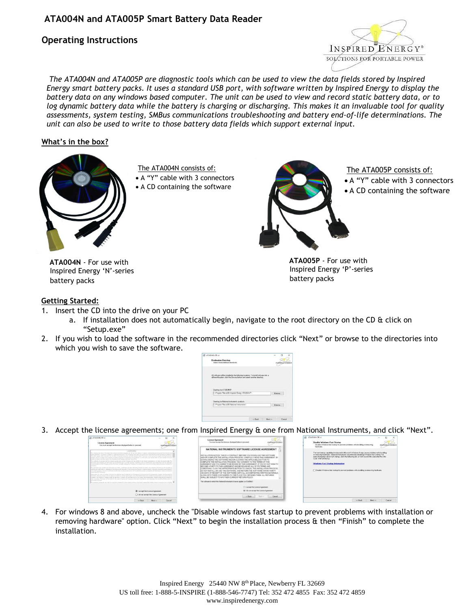## **Operating Instructions**



*The ATA004N and ATA005P are diagnostic tools which can be used to view the data fields stored by Inspired Energy smart battery packs. It uses a standard USB port, with software written by Inspired Energy to display the battery data on any windows based computer. The unit can be used to view and record static battery data, or to log dynamic battery data while the battery is charging or discharging. This makes it an invaluable tool for quality assessments, system testing, SMBus communications troubleshooting and battery end-of-life determinations. The unit can also be used to write to those battery data fields which support external input.*

### **What's in the box?**



The ATA004N consists of: A "Y" cable with 3 connectors A CD containing the software



The ATA005P consists of:

- A "Y" cable with 3 connectors
- A CD containing the software

**ATA004N** - For use with Inspired Energy 'N'-series battery packs

### **ATA005P** - For use with Inspired Energy 'P'-series battery packs

#### **Getting Started:**

- 1. Insert the CD into the drive on your PC
	- a. If installation does not automatically begin, navigate to the root directory on the CD & click on "Setup.exe"
- 2. If you wish to load the software in the recommended directories click "Next" or browse to the directories into which you wish to save the software.



3. Accept the license agreements; one from Inspired Energy & one from National Instruments, and click "Next".



4. For windows 8 and above, uncheck the "Disable windows fast startup to prevent problems with installation or removing hardware" option. Click "Next" to begin the installation process & then "Finish" to complete the installation.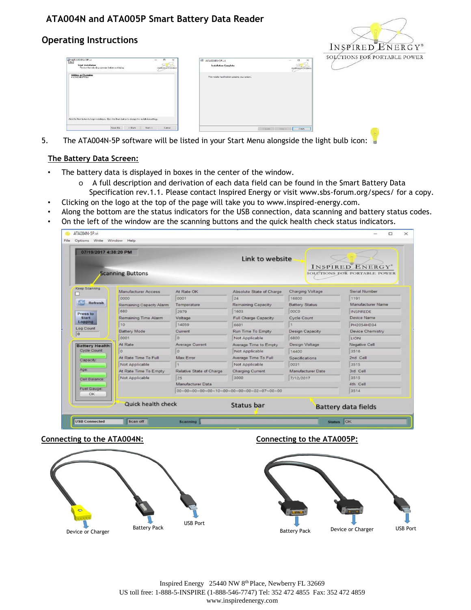# **Operating Instructions**



| An TACO4N-SP.vi<br>$\Box$<br>$\times$<br>$\overline{\phantom{a}}$<br>Start Installation<br>Review the tolowing summary before continuing.<br><b>INSPIRED TOVIDEGY</b> | ATACO4N-SP.vi<br><b>Instalation Complete</b>     | SOLCTIONS FOR P<br>$\Box$<br>$\times$<br>-<br>INSPIRED ENERGY |
|-----------------------------------------------------------------------------------------------------------------------------------------------------------------------|--------------------------------------------------|---------------------------------------------------------------|
| Adding or Changing<br>• ATADON P Flor                                                                                                                                 | The installer has finished updating your oystem. |                                                               |
|                                                                                                                                                                       |                                                  |                                                               |
| Click the Next button to begin installation. Click the Back button to change the installation settings.                                                               |                                                  |                                                               |
| Save Ric.<br>cr Back<br>Nowa<br>Earnest                                                                                                                               | cellace.                                         | Finsh.<br>Hear ev                                             |

5. The ATA004N-5P software will be listed in your Start Menu alongside the light bulb icon:

## **The Battery Data Screen:**

- The battery data is displayed in boxes in the center of the window.
	- o A full description and derivation of each data field can be found in the Smart Battery Data Specification rev.1.1. Please contact Inspired Energy or visit www.sbs-forum.org/specs/ for a copy.
- Clicking on the logo at the top of the page will take you to www.inspired-energy.com.
- Along the bottom are the status indicators for the USB connection, data scanning and battery status codes.
- On the left of the window are the scanning buttons and the quick health check status indicators.

| 07/19/2017 4:38:20 PM   | <b>Scanning Buttons</b>         |                          | Link to website             |                         | <b>INSPIRED ENERGY</b> *<br>SOLUTIONS FOR PORTABLE POWER |
|-------------------------|---------------------------------|--------------------------|-----------------------------|-------------------------|----------------------------------------------------------|
| Keep Scanning           |                                 |                          |                             |                         |                                                          |
|                         | <b>Manufacturer Access</b>      | At Rate OK               | Absolute State of Charge    | <b>Charging Voltage</b> | Serial Number                                            |
| Refresh                 | 0000                            | 0001                     | 24                          | 16800                   | 1191                                                     |
|                         | Remaining Capacity Alarm<br>680 | Temperature              | Remaining Capacity          | <b>Battery Status</b>   | Manufacturer Name                                        |
| Press to                |                                 | 2979                     | 1603                        | OOCO                    | <b>INSPIREDE</b>                                         |
| <b>Start</b><br>Logging | Remaining Time Alarm            | Voltage                  | <b>Full Charge Capacity</b> | <b>Cycle Count</b>      | Device Name                                              |
| Log Count               | 10                              | 14059                    | 6601                        |                         | PH2054HD34                                               |
| $\overline{0}$          | <b>Battery Mode</b>             | Current                  | Run Time To Empty           | <b>Design Capacity</b>  | <b>Device Chemistry</b>                                  |
|                         | 0001                            | $\circ$                  | Not Applicable              | 6800                    | LION                                                     |
| <b>Battery Health:</b>  | At Rate                         | Average Current          | Average Time to Empty       | <b>Design Voltage</b>   | <b>Negative Cell</b>                                     |
| <b>Cycle Count:</b>     | l o                             | $\circ$                  | Not Applicable              | 14400                   | 3516                                                     |
| Capacity.               | At Rate Time To Full            | Max Error                | Average Time To Full        | Specifications          | 2nd Cell                                                 |
|                         | Not Applicable                  | $\mathbb{I}$             | Not Applicable              | 0031                    | 3515                                                     |
| Age:                    | At Rate Time To Empty           | Relative State of Charge | <b>Charging Current</b>     | Manufacturer Date       | 3rd Cell                                                 |
| Cell Balance:           | Not Applicable                  | 25                       | 3000                        | 7/12/2017               | 3515                                                     |
| Fuel Gauge:             |                                 | Manufacturer Data        |                             |                         | 4th Cell                                                 |
| OK                      |                                 |                          |                             |                         | 3514                                                     |
|                         | Quick health check              |                          | Status bar                  |                         | <b>Battery data fields</b>                               |



#### **Connecting to the ATA004N: Connecting to the ATA005P:**



Inspired Energy 25440 NW 8th Place, Newberry FL 32669 US toll free: 1-888-5-INSPIRE (1-888-546-7747) Tel: 352 472 4855 Fax: 352 472 4859 www.inspiredenergy.com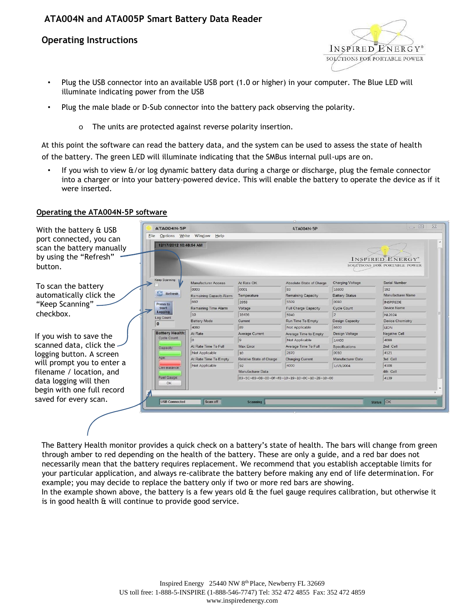## **Operating Instructions**



- Plug the USB connector into an available USB port (1.0 or higher) in your computer. The Blue LED will illuminate indicating power from the USB
- Plug the male blade or D-Sub connector into the battery pack observing the polarity.
	- o The units are protected against reverse polarity insertion.

At this point the software can read the battery data, and the system can be used to assess the state of health of the battery. The green LED will illuminate indicating that the SMBus internal pull-ups are on.

• If you wish to view &/or log dynamic battery data during a charge or discharge, plug the female connector into a charger or into your battery-powered device. This will enable the battery to operate the device as if it were inserted.

#### **Operating the ATA004N-5P software**



The Battery Health monitor provides a quick check on a battery's state of health. The bars will change from green through amber to red depending on the health of the battery. These are only a guide, and a red bar does not necessarily mean that the battery requires replacement. We recommend that you establish acceptable limits for your particular application, and always re-calibrate the battery before making any end of life determination. For example; you may decide to replace the battery only if two or more red bars are showing.

In the example shown above, the battery is a few years old  $\alpha$  the fuel gauge requires calibration, but otherwise it is in good health & will continue to provide good service.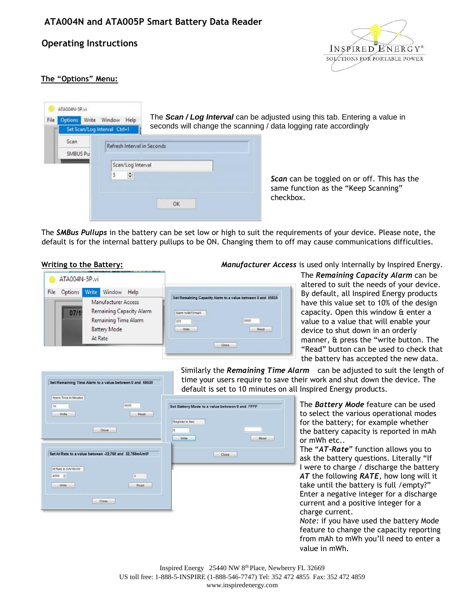## **Operating Instructions**



## **The "Options" Menu:**

| ATA004N-5P.vi<br>Write<br>File<br>znot | Window Help<br>Set Scan/Log Interval Ctrl+1            |    | The Scan / Log Interval can be adjusted using this tab. Entering a value in<br>seconds will change the scanning / data logging rate accordingly |
|----------------------------------------|--------------------------------------------------------|----|-------------------------------------------------------------------------------------------------------------------------------------------------|
| Scan<br>SMBUS Pu                       | Refresh Interval in Seconds<br>Scan/Log Interval<br>K. | OK | Scan can be toggled on or off. This has the<br>same function as the "Keep Scanning"<br>checkbox.                                                |

The *SMBus Pullups* in the battery can be set low or high to suit the requirements of your device. Please note, the default is for the internal battery pullups to be ON. Changing them to off may cause communications difficulties.



**Writing to the Battery:** *Manufacturer Access* is used only internally by Inspired Energy.

The *Remaining Capacity Alarm* can be altered to suit the needs of your device. By default, all Inspired Energy products have this value set to 10% of the design capacity. Open this window & enter a value to a value that will enable your device to shut down in an orderly manner, & press the "write button. The "Read" button can be used to check that the battery has accepted the new data.

| Alarm Time in Minutes |                                                        |
|-----------------------|--------------------------------------------------------|
| 10                    | 0000                                                   |
| Write                 | Read                                                   |
|                       |                                                        |
|                       |                                                        |
|                       | Close                                                  |
|                       |                                                        |
|                       |                                                        |
|                       |                                                        |
|                       | Set At Rate to a value between -32,768 and 32,768mA/mW |
|                       |                                                        |
| At Rate in mA/10mW    |                                                        |
|                       |                                                        |
| 4000 章                | $\mathbf{0}$                                           |

Similarly the *Remaining Time Alarm* can be adjusted to suit the length of time your users require to save their work and shut down the device. The default is set to 10 minutes on all Inspired Energy products.

| Register in Hex |       |      |
|-----------------|-------|------|
| $\mathbf 0$     |       |      |
| Write           |       | Read |
|                 |       |      |
|                 | Close |      |

The *Battery Mode* feature can be used to select the various operational modes for the battery; for example whether the battery capacity is reported in mAh or mWh etc..

The "*AT-Rate*" function allows you to ask the battery questions. Literally "If I were to charge / discharge the battery *AT* the following *RATE*, how long will it take until the battery is full /empty?" Enter a negative integer for a discharge current and a positive integer for a charge current.

*Note:* if you have used the battery Mode feature to change the capacity reporting from mAh to mWh you'll need to enter a value in mWh.